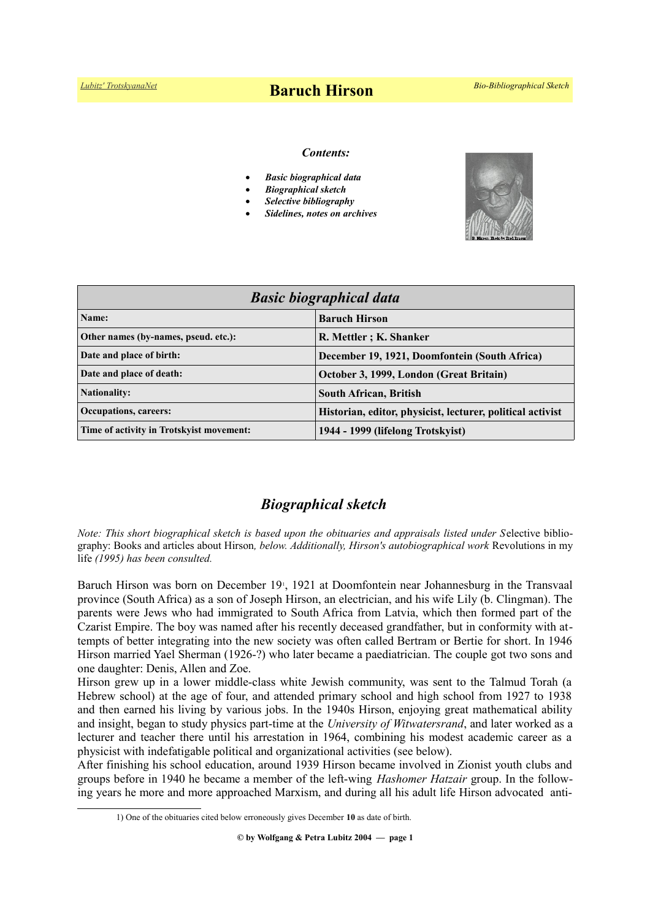# *[Lubitz' TrotskyanaNet](https://www.trotskyana.net/)* **Baruch Hirson** *Bio-Bibliographical Sketch*

#### *Contents:*

- *Basic biographical data*
- *Biographical sketch*
- *Selective bibliography*
- *Sidelines, notes on archives*



| <b>Basic biographical data</b>           |                                                            |
|------------------------------------------|------------------------------------------------------------|
| Name:                                    | <b>Baruch Hirson</b>                                       |
| Other names (by-names, pseud. etc.):     | R. Mettler; K. Shanker                                     |
| Date and place of birth:                 | December 19, 1921, Doomfontein (South Africa)              |
| Date and place of death:                 | October 3, 1999, London (Great Britain)                    |
| <b>Nationality:</b>                      | <b>South African, British</b>                              |
| Occupations, careers:                    | Historian, editor, physicist, lecturer, political activist |
| Time of activity in Trotskyist movement: | 1944 - 1999 (lifelong Trotskyist)                          |

# *Biographical sketch*

*Note: This short biographical sketch is based upon the obituaries and appraisals listed under S*elective bibliography: Books and articles about Hirson*, below. Additionally, Hirson's autobiographical work* Revolutions in my life *(1995) has been consulted.*

Baruch Hirson was born on December 19<sup>1</sup>[,](#page-0-0) 1921 at Doomfontein near Johannesburg in the Transvaal province (South Africa) as a son of Joseph Hirson, an electrician, and his wife Lily (b. Clingman). The parents were Jews who had immigrated to South Africa from Latvia, which then formed part of the Czarist Empire. The boy was named after his recently deceased grandfather, but in conformity with attempts of better integrating into the new society was often called Bertram or Bertie for short. In 1946 Hirson married Yael Sherman (1926-?) who later became a paediatrician. The couple got two sons and one daughter: Denis, Allen and Zoe.

Hirson grew up in a lower middle-class white Jewish community, was sent to the Talmud Torah (a Hebrew school) at the age of four, and attended primary school and high school from 1927 to 1938 and then earned his living by various jobs. In the 1940s Hirson, enjoying great mathematical ability and insight, began to study physics part-time at the *University of Witwatersrand*, and later worked as a lecturer and teacher there until his arrestation in 1964, combining his modest academic career as a physicist with indefatigable political and organizational activities (see below).

After finishing his school education, around 1939 Hirson became involved in Zionist youth clubs and groups before in 1940 he became a member of the left-wing *Hashomer Hatzair* group. In the following years he more and more approached Marxism, and during all his adult life Hirson advocated anti-

**© by Wolfgang & Petra Lubitz 2004 — page 1**

<span id="page-0-0"></span><sup>1)</sup> One of the obituaries cited below erroneously gives December **10** as date of birth.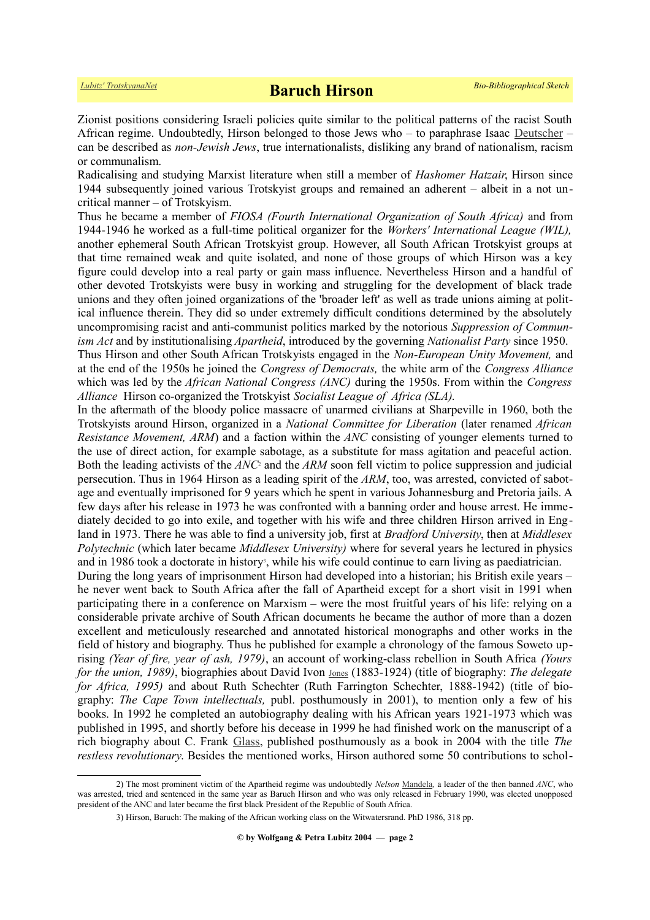Zionist positions considering Israeli policies quite similar to the political patterns of the racist South African regime. Undoubtedly, Hirson belonged to those Jews who – to paraphrase Isaac [Deutscher](https://www.trotskyana.net/Trotskyists/Bio-Bibliographies/bio-bibl_deutscher_i.pdf) – can be described as *non-Jewish Jews*, true internationalists, disliking any brand of nationalism, racism or communalism.

Radicalising and studying Marxist literature when still a member of *Hashomer Hatzair*, Hirson since 1944 subsequently joined various Trotskyist groups and remained an adherent – albeit in a not uncritical manner – of Trotskyism.

Thus he became a member of *FIOSA (Fourth International Organization of South Africa)* and from 1944-1946 he worked as a full-time political organizer for the *Workers' International League (WIL),* another ephemeral South African Trotskyist group. However, all South African Trotskyist groups at that time remained weak and quite isolated, and none of those groups of which Hirson was a key figure could develop into a real party or gain mass influence. Nevertheless Hirson and a handful of other devoted Trotskyists were busy in working and struggling for the development of black trade unions and they often joined organizations of the 'broader left' as well as trade unions aiming at political influence therein. They did so under extremely difficult conditions determined by the absolutely uncompromising racist and anti-communist politics marked by the notorious *Suppression of Communism Act* and by institutionalising *Apartheid*, introduced by the governing *Nationalist Party* since 1950.

Thus Hirson and other South African Trotskyists engaged in the *Non-European Unity Movement,* and at the end of the 1950s he joined the *Congress of Democrats,* the white arm of the *Congress Alliance* which was led by the *African National Congress (ANC)* during the 1950s. From within the *Congress Alliance* Hirson co-organized the Trotskyist *Socialist League of Africa (SLA).* 

In the aftermath of the bloody police massacre of unarmed civilians at Sharpeville in 1960, both the Trotskyists around Hirson, organized in a *National Committee for Liberation* (later renamed *African Resistance Movement, ARM*) and a faction within the *ANC* consisting of younger elements turned to the use of direct action, for example sabotage, as a substitute for mass agitation and peaceful action. Boththe leading activists of the *ANC*<sup>2</sup> and the *ARM* soon fell victim to police suppression and judicial persecution. Thus in 1964 Hirson as a leading spirit of the *ARM*, too, was arrested, convicted of sabotage and eventually imprisoned for 9 years which he spent in various Johannesburg and Pretoria jails. A few days after his release in 1973 he was confronted with a banning order and house arrest. He immediately decided to go into exile, and together with his wife and three children Hirson arrived in England in 1973. There he was able to find a university job, first at *Bradford University*, then at *Middlesex Polytechnic* (which later became *Middlesex University)* where for several years he lectured in physics and in 1986 took a doctorate in histor[y](#page-1-1)<sup>3</sup>, while his wife could continue to earn living as paediatrician.

During the long years of imprisonment Hirson had developed into a historian; his British exile years – he never went back to South Africa after the fall of Apartheid except for a short visit in 1991 when participating there in a conference on Marxism – were the most fruitful years of his life: relying on a considerable private archive of South African documents he became the author of more than a dozen excellent and meticulously researched and annotated historical monographs and other works in the field of history and biography. Thus he published for example a chronology of the famous Soweto uprising *(Year of fire, year of ash, 1979)*, an account of working-class rebellion in South Africa *(Yours for the union, 1989)*, biographies about David Ivon [Jones](http://www.sahistory.org.za/people/david-ivon-jones) (1883-1924) (title of biography: *The delegate for Africa, 1995*) and about Ruth Schechter (Ruth Farrington Schechter, 1888-1942) (title of biography: *The Cape Town intellectuals,* publ. posthumously in 2001), to mention only a few of his books. In 1992 he completed an autobiography dealing with his African years 1921-1973 which was published in 1995, and shortly before his decease in 1999 he had finished work on the manuscript of a rich biography about C. Frank [Glass,](https://www.trotskyana.net/Trotskyists/Bio-Bibliographies/bio-bibl_glass.pdf) published posthumously as a book in 2004 with the title *The restless revolutionary*. Besides the mentioned works, Hirson authored some 50 contributions to schol-

<sup>2)</sup> The most prominent victim of the Apartheid regime was undoubtedly *Nelson* [Mandela](https://en.wikipedia.org/wiki/Nelson_Mandela)*,* a leader of the then banned *ANC*, who was arrested, tried and sentenced in the same year as Baruch Hirson and who was only released in February 1990, was elected unopposed president of the ANC and later became the first black President of the Republic of South Africa.

<span id="page-1-1"></span><span id="page-1-0"></span><sup>3)</sup> Hirson, Baruch: The making of the African working class on the Witwatersrand. PhD 1986, 318 pp.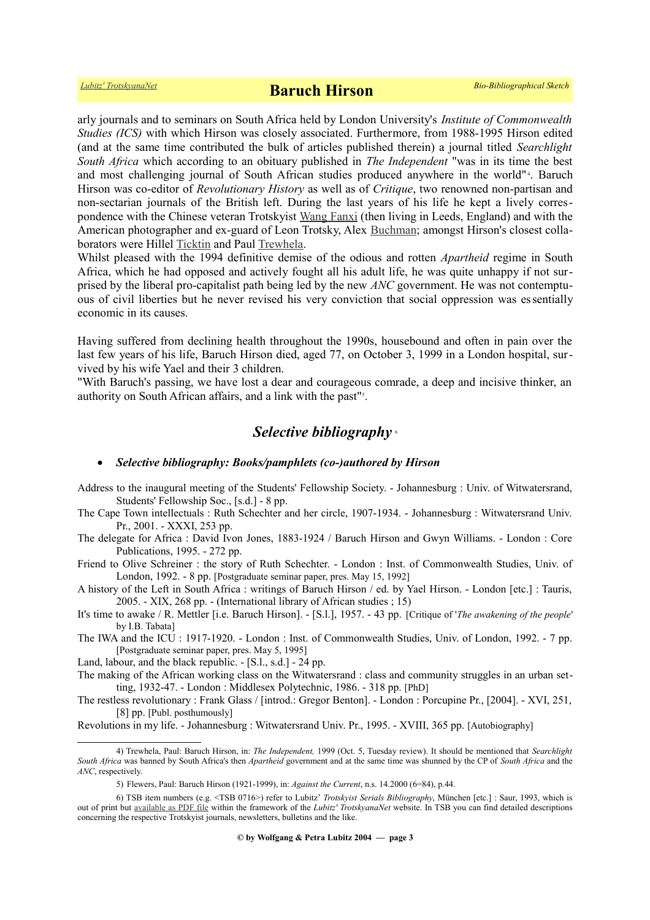arly journals and to seminars on South Africa held by London University's *Institute of Commonwealth Studies (ICS)* with which Hirson was closely associated. Furthermore, from 1988-1995 Hirson edited (and at the same time contributed the bulk of articles published therein) a journal titled *Searchlight South Africa* which according to an obituary published in *The Independent* "was in its time the best and most challenging journal of South African studies produced anywhere in the world"<sup>[4](#page-2-0)</sup>. Baruch Hirson was co-editor of *Revolutionary History* as well as of *Critique*, two renowned non-partisan and non-sectarian journals of the British left. During the last years of his life he kept a lively correspondence with the Chinese veteran Trotskyist [Wang Fanxi](https://en.wikipedia.org/wiki/Wang_Fanxi) (then living in Leeds, England) and with the American photographer and ex-guard of Leon Trotsky, Alex [Buchman;](https://www.trotskyana.net/Trotskyists/Bio-Bibliographies/bio-bibl_buchman.pdf) amongst Hirson's closest collaborators were Hillel [Ticktin](https://en.wikipedia.org/wiki/Hillel_Ticktin) and Paul [Trewhela.](https://en.wikipedia.org/wiki/Paul_Trewhela)

Whilst pleased with the 1994 definitive demise of the odious and rotten *Apartheid* regime in South Africa, which he had opposed and actively fought all his adult life, he was quite unhappy if not surprised by the liberal pro-capitalist path being led by the new *ANC* government. He was not contemptuous of civil liberties but he never revised his very conviction that social oppression was essentially economic in its causes.

Having suffered from declining health throughout the 1990s, housebound and often in pain over the last few years of his life, Baruch Hirson died, aged 77, on October 3, 1999 in a London hospital, survived by his wife Yael and their 3 children.

"With Baruch's passing, we have lost a dear and courageous comrade, a deep and incisive thinker, an authority on South African affairs, and a link with the past"<sup>5</sup>[.](#page-2-1)

## *Selective bibliography* [6](#page-2-2)

#### *Selective bibliography: Books/pamphlets (co-)authored by Hirson*

- Address to the inaugural meeting of the Students' Fellowship Society. Johannesburg : Univ. of Witwatersrand, Students' Fellowship Soc., [s.d.] - 8 pp.
- The Cape Town intellectuals : Ruth Schechter and her circle, 1907-1934. Johannesburg : Witwatersrand Univ. Pr., 2001. - XXXI, 253 pp.
- The delegate for Africa : David Ivon Jones, 1883-1924 / Baruch Hirson and Gwyn Williams. London : Core Publications, 1995. - 272 pp.
- Friend to Olive Schreiner : the story of Ruth Schechter. London : Inst. of Commonwealth Studies, Univ. of London, 1992. - 8 pp. [Postgraduate seminar paper, pres. May 15, 1992]

A history of the Left in South Africa : writings of Baruch Hirson / ed. by Yael Hirson. - London [etc.] : Tauris, 2005. - XIX, 268 pp. - (International library of African studies ; 15)

- It's time to awake / R. Mettler [i.e. Baruch Hirson]. [S.l.], 1957. 43 pp. [Critique of '*The awakening of the people*' by I.B. Tabata]
- The IWA and the ICU : 1917-1920. London : Inst. of Commonwealth Studies, Univ. of London, 1992. 7 pp. [Postgraduate seminar paper, pres. May 5, 1995]
- Land, labour, and the black republic. [S.l., s.d.] 24 pp.
- The making of the African working class on the Witwatersrand : class and community struggles in an urban setting, 1932-47. - London : Middlesex Polytechnic, 1986. - 318 pp. [PhD]

The restless revolutionary : Frank Glass / [introd.: Gregor Benton]. - London : Porcupine Pr., [2004]. - XVI, 251, [8] pp. [Publ. posthumously]

Revolutions in my life. - Johannesburg : Witwatersrand Univ. Pr., 1995. - XVIII, 365 pp. [Autobiography]

<sup>4)</sup> Trewhela, Paul: Baruch Hirson, in: *The Independent,* 1999 (Oct. 5, Tuesday review). It should be mentioned that *Searchlight South Africa* was banned by South Africa's then *Apartheid* government and at the same time was shunned by the CP of *South Africa* and the *ANC*, respectively.

<span id="page-2-2"></span><span id="page-2-1"></span><span id="page-2-0"></span><sup>5)</sup> Flewers, Paul: Baruch Hirson (1921-1999), in: *Against the Current*, n.s. 14.2000 (6=84), p.44.

<sup>6)</sup> TSB item numbers (e.g. <TSB 0716>) refer to Lubitz' *Trotskyist Serials Bibliography*, München [etc.] : Saur, 1993, which is out of print but [available as PDF file](https://www.trotskyana.net/LubitzBibliographies/Serials_Bibliography/serials_bibliography.htm#PDF) within the framework of the *Lubitz' TrotskyanaNet* website. In TSB you can find detailed descriptions concerning the respective Trotskyist journals, newsletters, bulletins and the like.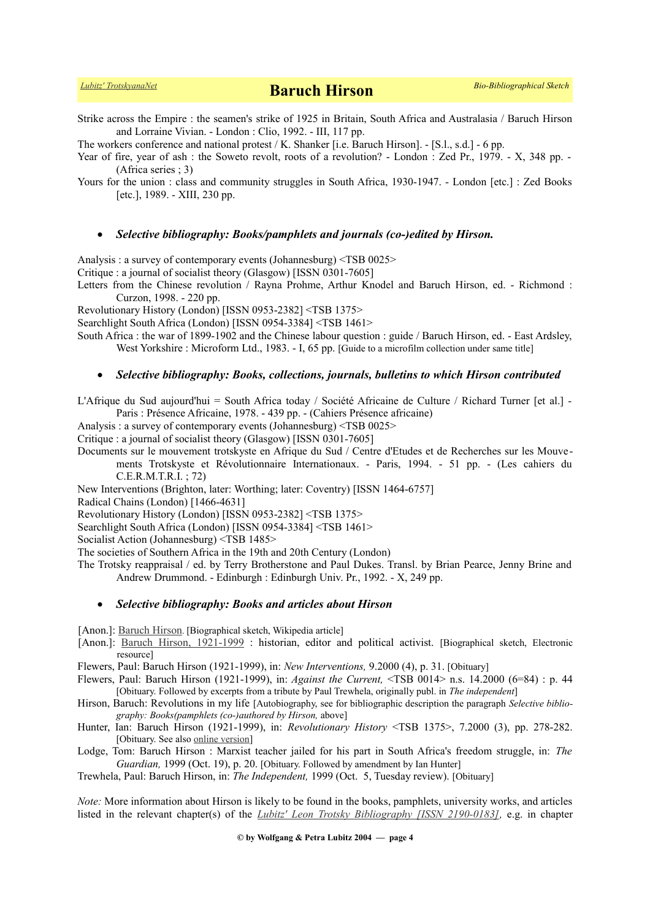Strike across the Empire : the seamen's strike of 1925 in Britain, South Africa and Australasia / Baruch Hirson and Lorraine Vivian. - London : Clio, 1992. - III, 117 pp.

The workers conference and national protest / K. Shanker [i.e. Baruch Hirson]. - [S.l., s.d.] - 6 pp.

Year of fire, year of ash : the Soweto revolt, roots of a revolution? - London : Zed Pr., 1979. - X, 348 pp. -(Africa series ; 3)

Yours for the union : class and community struggles in South Africa, 1930-1947. - London [etc.] : Zed Books [etc.], 1989. - XIII, 230 pp.

#### *Selective bibliography: Books/pamphlets and journals (co-)edited by Hirson.*

Analysis : a survey of contemporary events (Johannesburg) <TSB 0025>

Critique : a journal of socialist theory (Glasgow) [ISSN 0301-7605]

Letters from the Chinese revolution / Rayna Prohme, Arthur Knodel and Baruch Hirson, ed. - Richmond : Curzon, 1998. - 220 pp.

Revolutionary History (London) [ISSN 0953-2382] <TSB 1375>

Searchlight South Africa (London) [ISSN 0954-3384] <TSB 1461>

South Africa : the war of 1899-1902 and the Chinese labour question : guide / Baruch Hirson, ed. - East Ardsley, West Yorkshire : Microform Ltd., 1983. - I, 65 pp. [Guide to a microfilm collection under same title]

#### *Selective bibliography: Books, collections, journals, bulletins to which Hirson contributed*

L'Afrique du Sud aujourd'hui = South Africa today / Société Africaine de Culture / Richard Turner [et al.] - Paris : Présence Africaine, 1978. - 439 pp. - (Cahiers Présence africaine)

Analysis : a survey of contemporary events (Johannesburg) <TSB 0025>

Critique : a journal of socialist theory (Glasgow) [ISSN 0301-7605]

Documents sur le mouvement trotskyste en Afrique du Sud / Centre d'Etudes et de Recherches sur les Mouvements Trotskyste et Révolutionnaire Internationaux. - Paris, 1994. - 51 pp. - (Les cahiers du C.E.R.M.T.R.I. ; 72)

New Interventions (Brighton, later: Worthing; later: Coventry) [ISSN 1464-6757]

Radical Chains (London) [1466-4631]

Revolutionary History (London) [ISSN 0953-2382] <TSB 1375>

Searchlight South Africa (London) [ISSN 0954-3384] <TSB 1461>

Socialist Action (Johannesburg) <TSB 1485>

The societies of Southern Africa in the 19th and 20th Century (London)

The Trotsky reappraisal / ed. by Terry Brotherstone and Paul Dukes. Transl. by Brian Pearce, Jenny Brine and Andrew Drummond. - Edinburgh : Edinburgh Univ. Pr., 1992. - X, 249 pp.

#### *Selective bibliography: Books and articles about Hirson*

[Anon.]: [Baruch Hirson](https://en.wikipedia.org/wiki/Baruch_Hirson). [Biographical sketch, Wikipedia article]

[Anon.]: [Baruch Hirson, 1921-1999](http://www.sahistory.org.za/pages/people/hirson-b.htm) : historian, editor and political activist. [Biographical sketch, Electronic resource]

Flewers, Paul: Baruch Hirson (1921-1999), in: *New Interventions,* 9.2000 (4), p. 31. [Obituary]

- Flewers, Paul: Baruch Hirson (1921-1999), in: *Against the Current,* <TSB 0014> n.s. 14.2000 (6=84) : p. 44 [Obituary. Followed by excerpts from a tribute by Paul Trewhela, originally publ. in *The independent*]
- Hirson, Baruch: Revolutions in my life [Autobiography, see for bibliographic description the paragraph *Selective bibliography: Books(pamphlets (co-)authored by Hirson,* above]
- Hunter, Ian: Baruch Hirson (1921-1999), in: *Revolutionary History* <TSB 1375>, 7.2000 (3), pp. 278-282. [Obituary. See also [online version\]](http://www.marxists.org/archive/hirson/biography.htm)
- Lodge, Tom: Baruch Hirson : Marxist teacher jailed for his part in South Africa's freedom struggle, in: *The Guardian,* 1999 (Oct. 19), p. 20. [Obituary. Followed by amendment by Ian Hunter]

Trewhela, Paul: Baruch Hirson, in: *The Independent,* 1999 (Oct. 5, Tuesday review). [Obituary]

*Note:* More information about Hirson is likely to be found in the books, pamphlets, university works, and articles listed in the relevant chapter(s) of the *[Lubitz' Leon Trotsky Bibliography \[ISSN 2190-0183\],](https://www.trotskyana.net/LubitzBibliographies/Trotsky_Bibliography/Leon_Trotsky_Bibliography.html)* e.g. in chapter